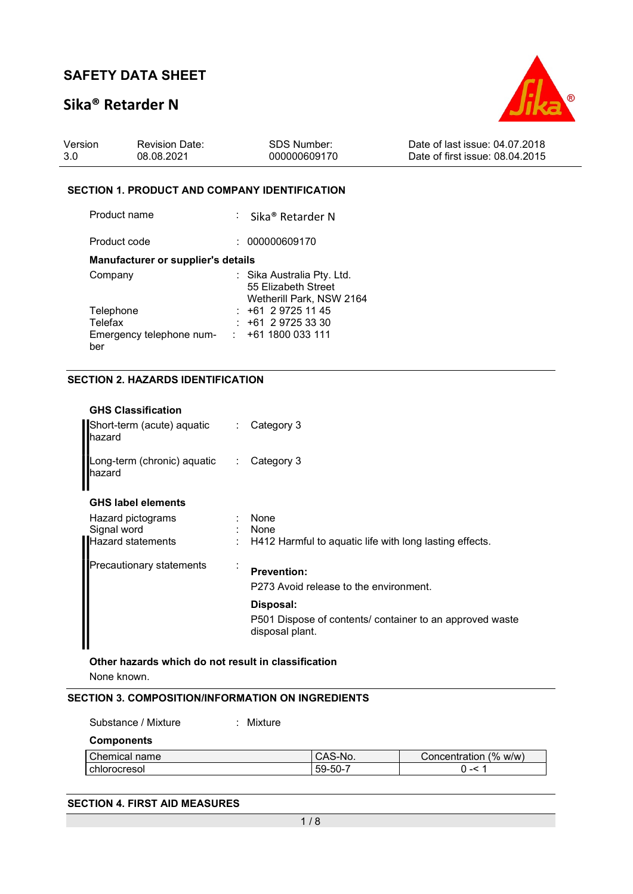## Sika® Retarder N



| Version | <b>Revision Date:</b> | SDS Number:  | Date of last issue: 04.07.2018  |
|---------|-----------------------|--------------|---------------------------------|
| -3.0    | 08.08.2021            | 000000609170 | Date of first issue: 08.04.2015 |

#### SECTION 1. PRODUCT AND COMPANY IDENTIFICATION

| Product name                              | : Sika <sup>®</sup> Retarder N                                                |
|-------------------------------------------|-------------------------------------------------------------------------------|
| Product code                              | 000000609170                                                                  |
| <b>Manufacturer or supplier's details</b> |                                                                               |
| Company                                   | : Sika Australia Pty. Ltd.<br>55 Elizabeth Street<br>Wetherill Park, NSW 2164 |
| Telephone                                 | $: +61297251145$                                                              |
| Telefax                                   | $: +61297253330$                                                              |
| Emergency telephone num-<br>ber           | : 1611800033111                                                               |

### SECTION 2. HAZARDS IDENTIFICATION

|                              | Short-term (acute) aquatic : Category 3                                         |
|------------------------------|---------------------------------------------------------------------------------|
|                              | Long-term (chronic) aquatic : Category 3                                        |
|                              |                                                                                 |
| $\mathcal{L}_{\mathrm{max}}$ | $:$ None<br>$:$ None<br>H412 Harmful to aquatic life with long lasting effects. |
|                              | <b>Prevention:</b><br>P273 Avoid release to the environment.                    |
|                              | Disposal:                                                                       |
|                              | P501 Dispose of contents/ container to an approved waste<br>disposal plant.     |
|                              |                                                                                 |

Other hazards which do not result in classification None known.

#### SECTION 3. COMPOSITION/INFORMATION ON INGREDIENTS

| Substance / Mixture | Mixture |         |                       |
|---------------------|---------|---------|-----------------------|
| <b>Components</b>   |         |         |                       |
| l Chemical name     |         | CAS-No. | Concentration (% w/w) |
| i chlorocresol      |         | 59-50-7 | $0 - 51$              |

#### SECTION 4. FIRST AID MEASURES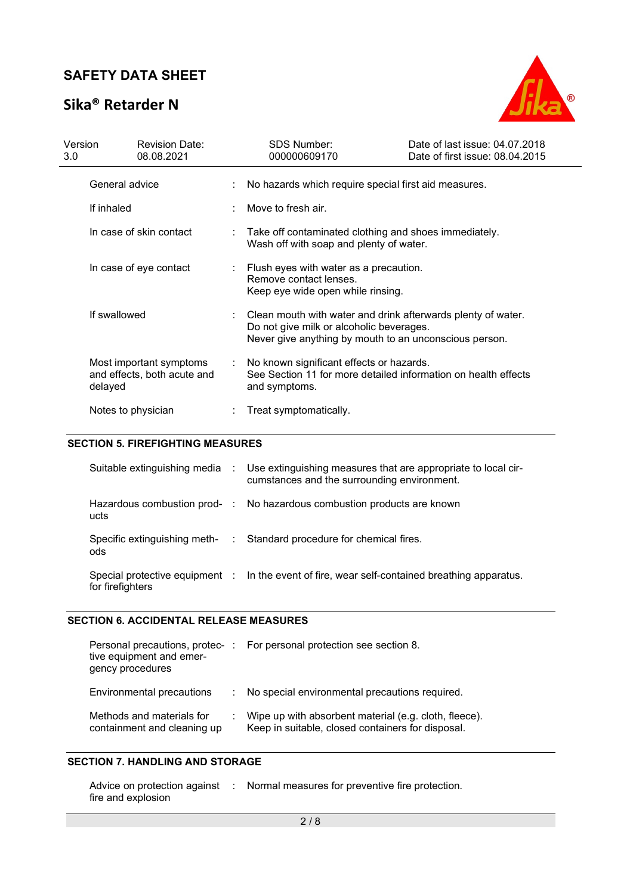# Sika® Retarder N



| Version<br>3.0 <sub>2</sub> |                         | <b>Revision Date:</b><br>08.08.2021                    | <b>SDS Number:</b><br>000000609170                                                                                                                                 | Date of last issue: 04.07.2018<br>Date of first issue: 08.04.2015 |  |
|-----------------------------|-------------------------|--------------------------------------------------------|--------------------------------------------------------------------------------------------------------------------------------------------------------------------|-------------------------------------------------------------------|--|
|                             | General advice          |                                                        | No hazards which require special first aid measures.                                                                                                               |                                                                   |  |
|                             | If inhaled              |                                                        | Move to fresh air.                                                                                                                                                 |                                                                   |  |
|                             | In case of skin contact |                                                        | Take off contaminated clothing and shoes immediately.<br>Wash off with soap and plenty of water.                                                                   |                                                                   |  |
|                             | In case of eye contact  |                                                        | Flush eyes with water as a precaution.<br>Remove contact lenses.<br>Keep eye wide open while rinsing.                                                              |                                                                   |  |
|                             | If swallowed            |                                                        | Clean mouth with water and drink afterwards plenty of water.<br>Do not give milk or alcoholic beverages.<br>Never give anything by mouth to an unconscious person. |                                                                   |  |
|                             | delayed                 | Most important symptoms<br>and effects, both acute and | : No known significant effects or hazards.<br>See Section 11 for more detailed information on health effects<br>and symptoms.                                      |                                                                   |  |
|                             |                         | Notes to physician                                     | Treat symptomatically.                                                                                                                                             |                                                                   |  |

### SECTION 5. FIREFIGHTING MEASURES

|                  | Suitable extinguishing media : Use extinguishing measures that are appropriate to local cir-<br>cumstances and the surrounding environment. |
|------------------|---------------------------------------------------------------------------------------------------------------------------------------------|
| ucts             | Hazardous combustion prod- : No hazardous combustion products are known                                                                     |
| ods              | Specific extinguishing meth- : Standard procedure for chemical fires.                                                                       |
| for firefighters | Special protective equipment : In the event of fire, wear self-contained breathing apparatus.                                               |

#### SECTION 6. ACCIDENTAL RELEASE MEASURES

| Personal precautions, protec-<br>tive equipment and emer-<br>gency procedures | For personal protection see section 8.                                                                     |
|-------------------------------------------------------------------------------|------------------------------------------------------------------------------------------------------------|
| Environmental precautions                                                     | No special environmental precautions required.                                                             |
| Methods and materials for<br>containment and cleaning up                      | Wipe up with absorbent material (e.g. cloth, fleece).<br>Keep in suitable, closed containers for disposal. |

### SECTION 7. HANDLING AND STORAGE

|                    | Advice on protection against : Normal measures for preventive fire protection. |
|--------------------|--------------------------------------------------------------------------------|
| fire and explosion |                                                                                |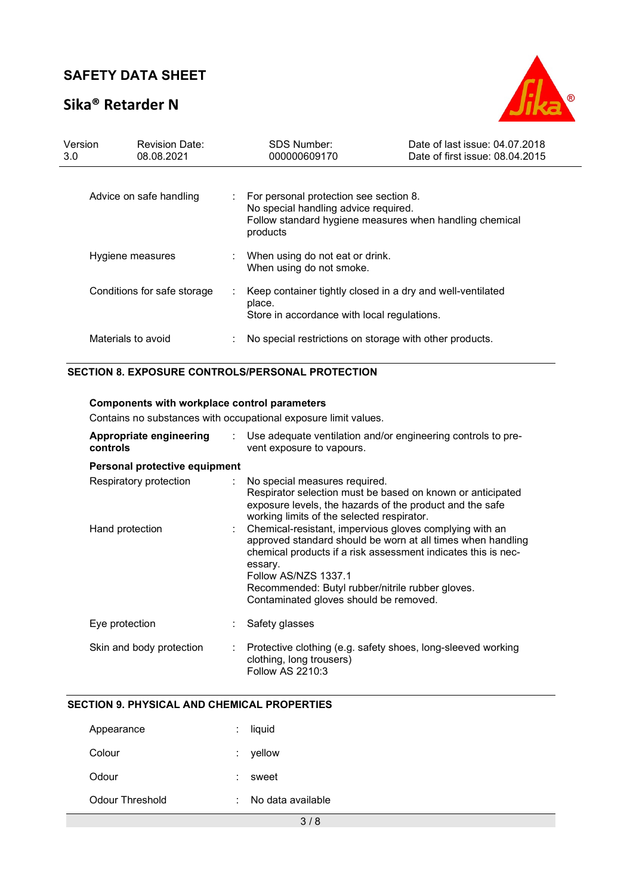# Sika® Retarder N



| Version<br>3.0          | <b>Revision Date:</b><br>08.08.2021 | SDS Number:<br>000000609170                                                                                                                           | Date of last issue: 04.07.2018<br>Date of first issue: 08.04.2015 |  |
|-------------------------|-------------------------------------|-------------------------------------------------------------------------------------------------------------------------------------------------------|-------------------------------------------------------------------|--|
| Advice on safe handling |                                     | For personal protection see section 8.<br>No special handling advice required.<br>Follow standard hygiene measures when handling chemical<br>products |                                                                   |  |
| Hygiene measures        |                                     | When using do not eat or drink.<br>When using do not smoke.                                                                                           |                                                                   |  |
|                         | Conditions for safe storage         | Keep container tightly closed in a dry and well-ventilated<br>place.<br>Store in accordance with local regulations.                                   |                                                                   |  |
|                         | Materials to avoid                  | No special restrictions on storage with other products.                                                                                               |                                                                   |  |

### SECTION 8. EXPOSURE CONTROLS/PERSONAL PROTECTION

### Components with workplace control parameters

Contains no substances with occupational exposure limit values.

| Appropriate engineering<br>controls |    | Use adequate ventilation and/or engineering controls to pre-<br>vent exposure to vapours.                                                                                                                                                                                                                                |
|-------------------------------------|----|--------------------------------------------------------------------------------------------------------------------------------------------------------------------------------------------------------------------------------------------------------------------------------------------------------------------------|
| Personal protective equipment       |    |                                                                                                                                                                                                                                                                                                                          |
| Respiratory protection              |    | : No special measures required.<br>Respirator selection must be based on known or anticipated<br>exposure levels, the hazards of the product and the safe<br>working limits of the selected respirator.                                                                                                                  |
| Hand protection                     |    | Chemical-resistant, impervious gloves complying with an<br>approved standard should be worn at all times when handling<br>chemical products if a risk assessment indicates this is nec-<br>essary.<br>Follow AS/NZS 1337.1<br>Recommended: Butyl rubber/nitrile rubber gloves.<br>Contaminated gloves should be removed. |
| Eye protection                      |    | Safety glasses                                                                                                                                                                                                                                                                                                           |
| Skin and body protection            | ÷. | Protective clothing (e.g. safety shoes, long-sleeved working<br>clothing, long trousers)<br>Follow AS 2210:3                                                                                                                                                                                                             |

### SECTION 9. PHYSICAL AND CHEMICAL PROPERTIES

| Appearance      | $:$ liquid                     |
|-----------------|--------------------------------|
| Colour          | $:$ yellow                     |
| Odour           | sweet                          |
| Odour Threshold | $\therefore$ No data available |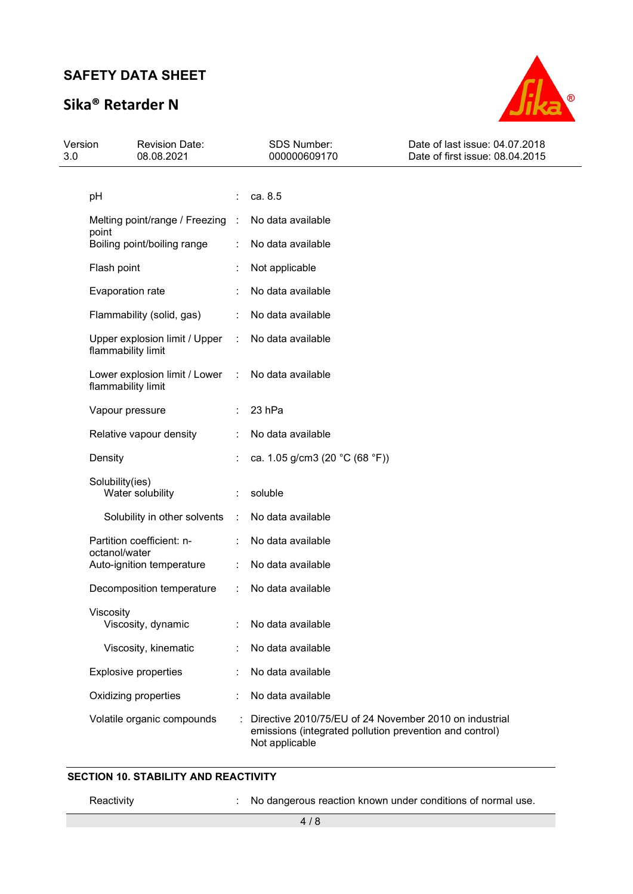# Sika® Retarder N



| Version<br>3.0 | <b>Revision Date:</b><br>08.08.2021                   |                | SDS Number:<br>000000609170                                                                                                         | Date of last issue: 04.07.2018<br>Date of first issue: 08.04.2015 |
|----------------|-------------------------------------------------------|----------------|-------------------------------------------------------------------------------------------------------------------------------------|-------------------------------------------------------------------|
|                |                                                       |                |                                                                                                                                     |                                                                   |
|                | pH                                                    |                | ca. 8.5                                                                                                                             |                                                                   |
|                | Melting point/range / Freezing :<br>point             |                | No data available                                                                                                                   |                                                                   |
|                | Boiling point/boiling range                           |                | No data available                                                                                                                   |                                                                   |
|                | Flash point                                           |                | Not applicable                                                                                                                      |                                                                   |
|                | Evaporation rate                                      |                | No data available                                                                                                                   |                                                                   |
|                | Flammability (solid, gas)                             | ÷              | No data available                                                                                                                   |                                                                   |
|                | Upper explosion limit / Upper<br>flammability limit   | $\sim 10^{-1}$ | No data available                                                                                                                   |                                                                   |
|                | Lower explosion limit / Lower :<br>flammability limit |                | No data available                                                                                                                   |                                                                   |
|                | Vapour pressure                                       |                | 23 hPa                                                                                                                              |                                                                   |
|                | Relative vapour density                               |                | No data available                                                                                                                   |                                                                   |
|                | Density                                               |                | ca. 1.05 g/cm3 (20 °C (68 °F))                                                                                                      |                                                                   |
|                | Solubility(ies)                                       |                |                                                                                                                                     |                                                                   |
|                | Water solubility                                      |                | soluble                                                                                                                             |                                                                   |
|                | Solubility in other solvents                          | ÷              | No data available                                                                                                                   |                                                                   |
|                | Partition coefficient: n-<br>octanol/water            |                | No data available                                                                                                                   |                                                                   |
|                | Auto-ignition temperature                             |                | No data available                                                                                                                   |                                                                   |
|                | Decomposition temperature                             | ÷              | No data available                                                                                                                   |                                                                   |
|                | Viscosity<br>Viscosity, dynamic                       |                | No data available                                                                                                                   |                                                                   |
|                | Viscosity, kinematic                                  |                | No data available                                                                                                                   |                                                                   |
|                | <b>Explosive properties</b>                           |                | No data available                                                                                                                   |                                                                   |
|                | Oxidizing properties                                  |                | No data available                                                                                                                   |                                                                   |
|                | Volatile organic compounds                            |                | Directive 2010/75/EU of 24 November 2010 on industrial<br>emissions (integrated pollution prevention and control)<br>Not applicable |                                                                   |

#### SECTION 10. STABILITY AND REACTIVITY

Reactivity **Reactivity** : No dangerous reaction known under conditions of normal use.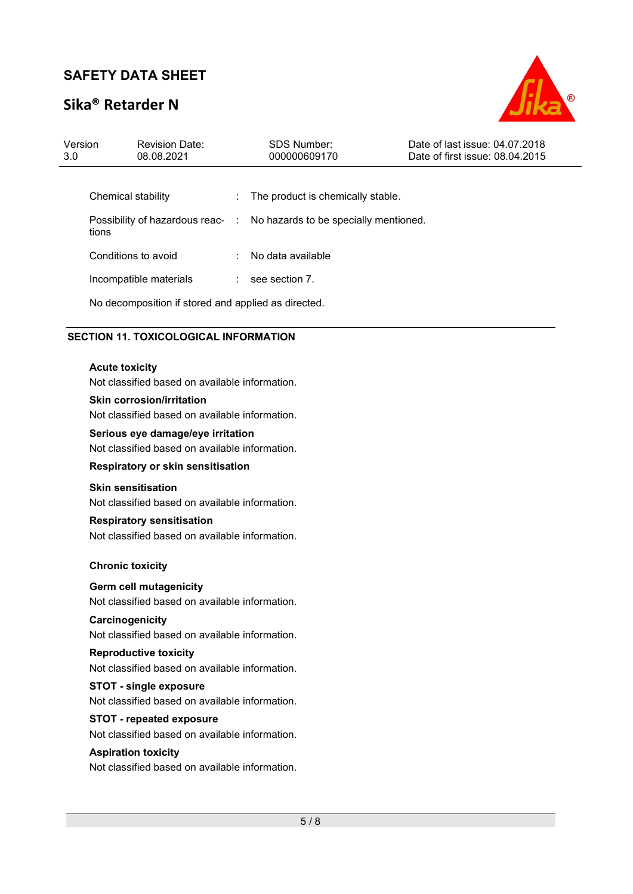# Sika® Retarder N



| Version<br>3.0 |                                                                                        | <b>Revision Date:</b><br>08.08.2021 |  | SDS Number:<br>000000609170           | Date of last issue: 04.07.2018<br>Date of first issue: 08.04.2015 |
|----------------|----------------------------------------------------------------------------------------|-------------------------------------|--|---------------------------------------|-------------------------------------------------------------------|
|                | Chemical stability<br>Possibility of hazardous reac- :<br>tions<br>Conditions to avoid |                                     |  | The product is chemically stable.     |                                                                   |
|                |                                                                                        |                                     |  |                                       |                                                                   |
|                |                                                                                        |                                     |  | No hazards to be specially mentioned. |                                                                   |
|                |                                                                                        |                                     |  | No data available                     |                                                                   |
|                | Incompatible materials                                                                 |                                     |  | see section 7.                        |                                                                   |
|                | No decomposition if stored and applied as directed.                                    |                                     |  |                                       |                                                                   |

### SECTION 11. TOXICOLOGICAL INFORMATION

### Acute toxicity

Not classified based on available information.

#### Skin corrosion/irritation

Not classified based on available information.

#### Serious eye damage/eye irritation

Not classified based on available information.

#### Respiratory or skin sensitisation

#### Skin sensitisation

Not classified based on available information.

#### Respiratory sensitisation

Not classified based on available information.

#### Chronic toxicity

#### Germ cell mutagenicity

Not classified based on available information.

#### **Carcinogenicity**

Not classified based on available information.

### Reproductive toxicity

Not classified based on available information.

### STOT - single exposure

Not classified based on available information.

## STOT - repeated exposure

Not classified based on available information.

#### Aspiration toxicity

Not classified based on available information.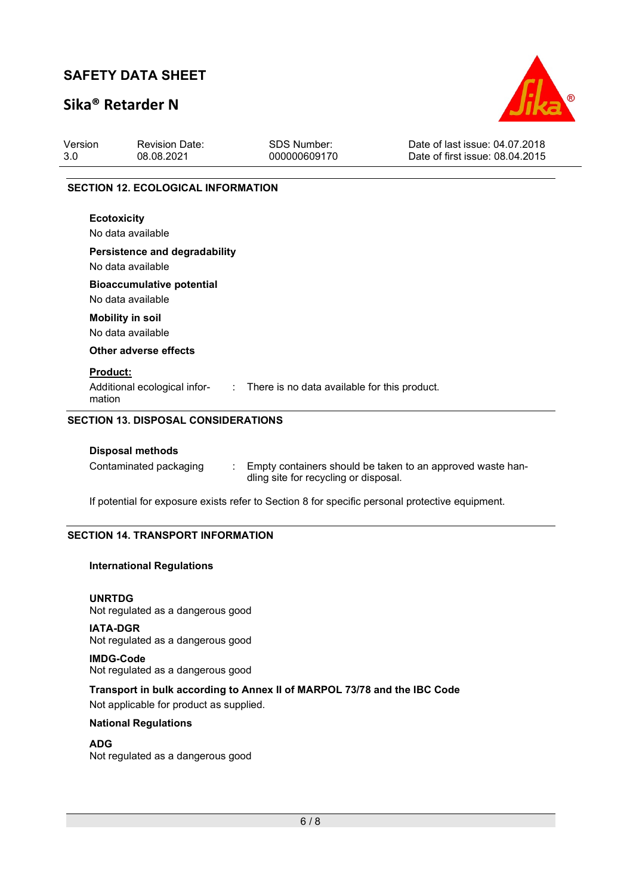# Sika® Retarder N



| Version<br>3.0  | <b>Revision Date:</b><br>08.08.2021                       | <b>SDS Number:</b><br>000000609170             | Date of last issue: 04.07.2018<br>Date of first issue: 08.04.2015 |
|-----------------|-----------------------------------------------------------|------------------------------------------------|-------------------------------------------------------------------|
|                 | <b>SECTION 12. ECOLOGICAL INFORMATION</b>                 |                                                |                                                                   |
|                 | <b>Ecotoxicity</b><br>No data available                   |                                                |                                                                   |
|                 | <b>Persistence and degradability</b><br>No data available |                                                |                                                                   |
|                 | <b>Bioaccumulative potential</b><br>No data available     |                                                |                                                                   |
|                 | <b>Mobility in soil</b><br>No data available              |                                                |                                                                   |
|                 | Other adverse effects                                     |                                                |                                                                   |
| <b>Product:</b> |                                                           |                                                |                                                                   |
| mation          | Additional ecological infor-                              | : There is no data available for this product. |                                                                   |

#### Disposal methods

| Contaminated packaging | Empty containers should be taken to an approved waste han- |
|------------------------|------------------------------------------------------------|
|                        | dling site for recycling or disposal.                      |

If potential for exposure exists refer to Section 8 for specific personal protective equipment.

### SECTION 14. TRANSPORT INFORMATION

#### International Regulations

UNRTDG Not regulated as a dangerous good

IATA-DGR Not regulated as a dangerous good

IMDG-Code Not regulated as a dangerous good

#### Transport in bulk according to Annex II of MARPOL 73/78 and the IBC Code

Not applicable for product as supplied.

### National Regulations

ADG

Not regulated as a dangerous good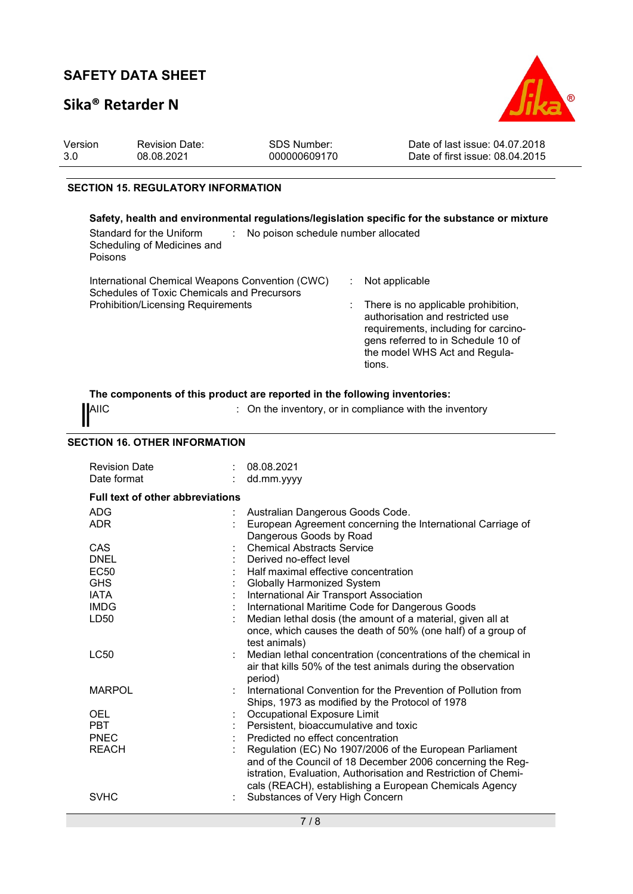## Sika® Retarder N



| Version<br>3.0                                                                                                     | <b>Revision Date:</b><br>08.08.2021                                                                                                         | SDS Number:<br>000000609170 | Date of last issue: 04.07.2018<br>Date of first issue: 08.04.2015                                                                                                                                                  |  |  |  |  |  |
|--------------------------------------------------------------------------------------------------------------------|---------------------------------------------------------------------------------------------------------------------------------------------|-----------------------------|--------------------------------------------------------------------------------------------------------------------------------------------------------------------------------------------------------------------|--|--|--|--|--|
|                                                                                                                    | <b>SECTION 15. REGULATORY INFORMATION</b>                                                                                                   |                             |                                                                                                                                                                                                                    |  |  |  |  |  |
| Safety, health and environmental regulations/legislation specific for the substance or mixture                     |                                                                                                                                             |                             |                                                                                                                                                                                                                    |  |  |  |  |  |
| Standard for the Uniform<br>: No poison schedule number allocated<br>Scheduling of Medicines and<br><b>Poisons</b> |                                                                                                                                             |                             |                                                                                                                                                                                                                    |  |  |  |  |  |
|                                                                                                                    | International Chemical Weapons Convention (CWC)<br>Schedules of Toxic Chemicals and Precursors<br><b>Prohibition/Licensing Requirements</b> |                             | Not applicable<br>There is no applicable prohibition,<br>authorisation and restricted use<br>requirements, including for carcino-<br>gens referred to in Schedule 10 of<br>the model WHS Act and Regula-<br>tions. |  |  |  |  |  |

### The components of this product are reported in the following inventories:

AIIC **AIIC EXECUTE:** On the inventory, or in compliance with the inventory

#### SECTION 16. OTHER INFORMATION

| <b>Revision Date</b><br>Date format     |  | 08.08.2021<br>dd.mm.yyyy                                                               |  |
|-----------------------------------------|--|----------------------------------------------------------------------------------------|--|
| <b>Full text of other abbreviations</b> |  |                                                                                        |  |
| ADG                                     |  | Australian Dangerous Goods Code.                                                       |  |
| <b>ADR</b>                              |  | European Agreement concerning the International Carriage of<br>Dangerous Goods by Road |  |
| CAS                                     |  | <b>Chemical Abstracts Service</b>                                                      |  |
| <b>DNEL</b>                             |  | Derived no-effect level                                                                |  |
| <b>EC50</b>                             |  | Half maximal effective concentration                                                   |  |
| <b>GHS</b>                              |  | Globally Harmonized System                                                             |  |
| <b>IATA</b>                             |  | International Air Transport Association                                                |  |
| <b>IMDG</b>                             |  | International Maritime Code for Dangerous Goods                                        |  |
| LD50                                    |  | Median lethal dosis (the amount of a material, given all at                            |  |
|                                         |  | once, which causes the death of 50% (one half) of a group of<br>test animals)          |  |
| <b>LC50</b>                             |  | Median lethal concentration (concentrations of the chemical in                         |  |
|                                         |  | air that kills 50% of the test animals during the observation<br>period)               |  |
| <b>MARPOL</b>                           |  | International Convention for the Prevention of Pollution from                          |  |
|                                         |  | Ships, 1973 as modified by the Protocol of 1978                                        |  |
| <b>OEL</b>                              |  | Occupational Exposure Limit                                                            |  |
| <b>PBT</b>                              |  | Persistent, bioaccumulative and toxic                                                  |  |
| <b>PNEC</b>                             |  | Predicted no effect concentration                                                      |  |
| <b>REACH</b>                            |  | Regulation (EC) No 1907/2006 of the European Parliament                                |  |
|                                         |  | and of the Council of 18 December 2006 concerning the Reg-                             |  |
|                                         |  | istration, Evaluation, Authorisation and Restriction of Chemi-                         |  |
|                                         |  | cals (REACH), establishing a European Chemicals Agency                                 |  |
| <b>SVHC</b>                             |  | Substances of Very High Concern                                                        |  |
|                                         |  |                                                                                        |  |